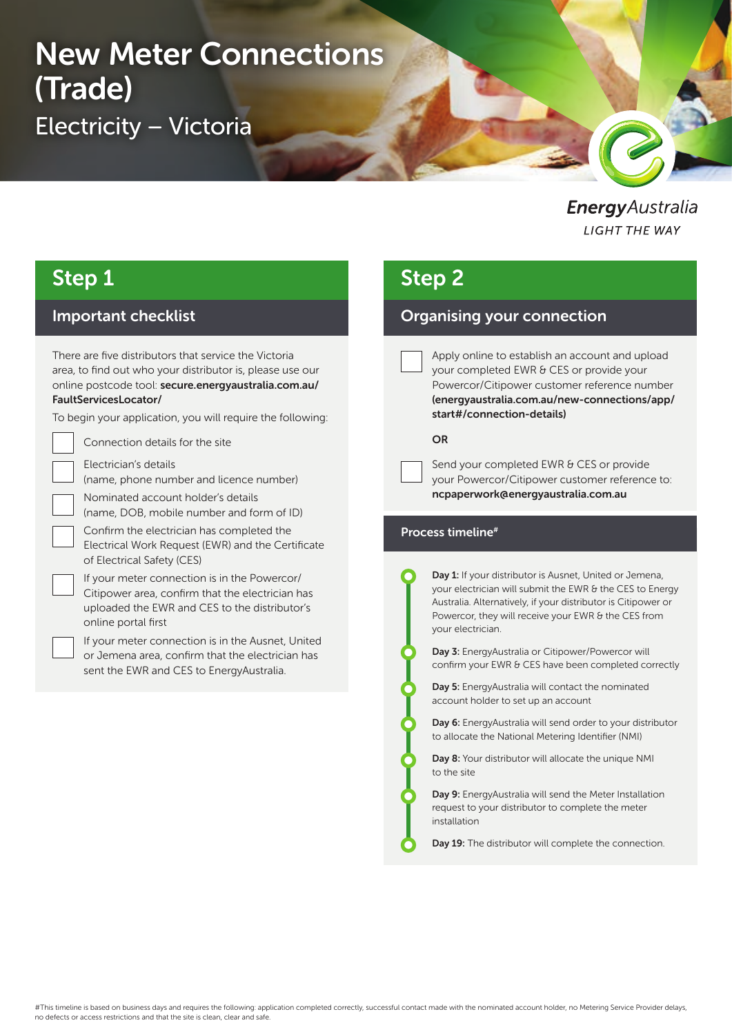# New Meter Connections (Trade) Electricity – Victoria

**Energy** Australia **LIGHT THE WAY** 

# Step 1

### Important checklist

There are five distributors that service the Victoria area, to find out who your distributor is, please use our online postcode tool: secure.energyaustralia.com.au/ FaultServicesLocator/

To begin your application, you will require the following:

Connection details for the site

Electrician's details

(name, phone number and licence number)

Nominated account holder's details

(name, DOB, mobile number and form of ID)

Confirm the electrician has completed the Electrical Work Request (EWR) and the Certificate of Electrical Safety (CES)

If your meter connection is in the Powercor/ Citipower area, confirm that the electrician has uploaded the EWR and CES to the distributor's online portal first



If your meter connection is in the Ausnet, United or Jemena area, confirm that the electrician has sent the EWR and CES to EnergyAustralia.

### Step 2

### Organising your connection

Apply online to establish an account and upload your completed EWR & CES or provide your Powercor/Citipower customer reference number (energyaustralia.com.au/new-connections/app/ start#/connection-details)

#### OR

Send your completed EWR & CES or provide your Powercor/Citipower customer reference to: ncpaperwork@energyaustralia.com.au

#### Process timeline#

Day 1: If your distributor is Ausnet, United or Jemena, your electrician will submit the EWR & the CES to Energy Australia. Alternatively, if your distributor is Citipower or Powercor, they will receive your EWR & the CES from your electrician.

Day 3: EnergyAustralia or Citipower/Powercor will confirm your EWR & CES have been completed correctly

Day 5: EnergyAustralia will contact the nominated account holder to set up an account

Day 6: EnergyAustralia will send order to your distributor to allocate the National Metering Identifier (NMI)

Day 8: Your distributor will allocate the unique NMI to the site

Day 9: EnergyAustralia will send the Meter Installation request to your distributor to complete the meter installation

Day 19: The distributor will complete the connection.